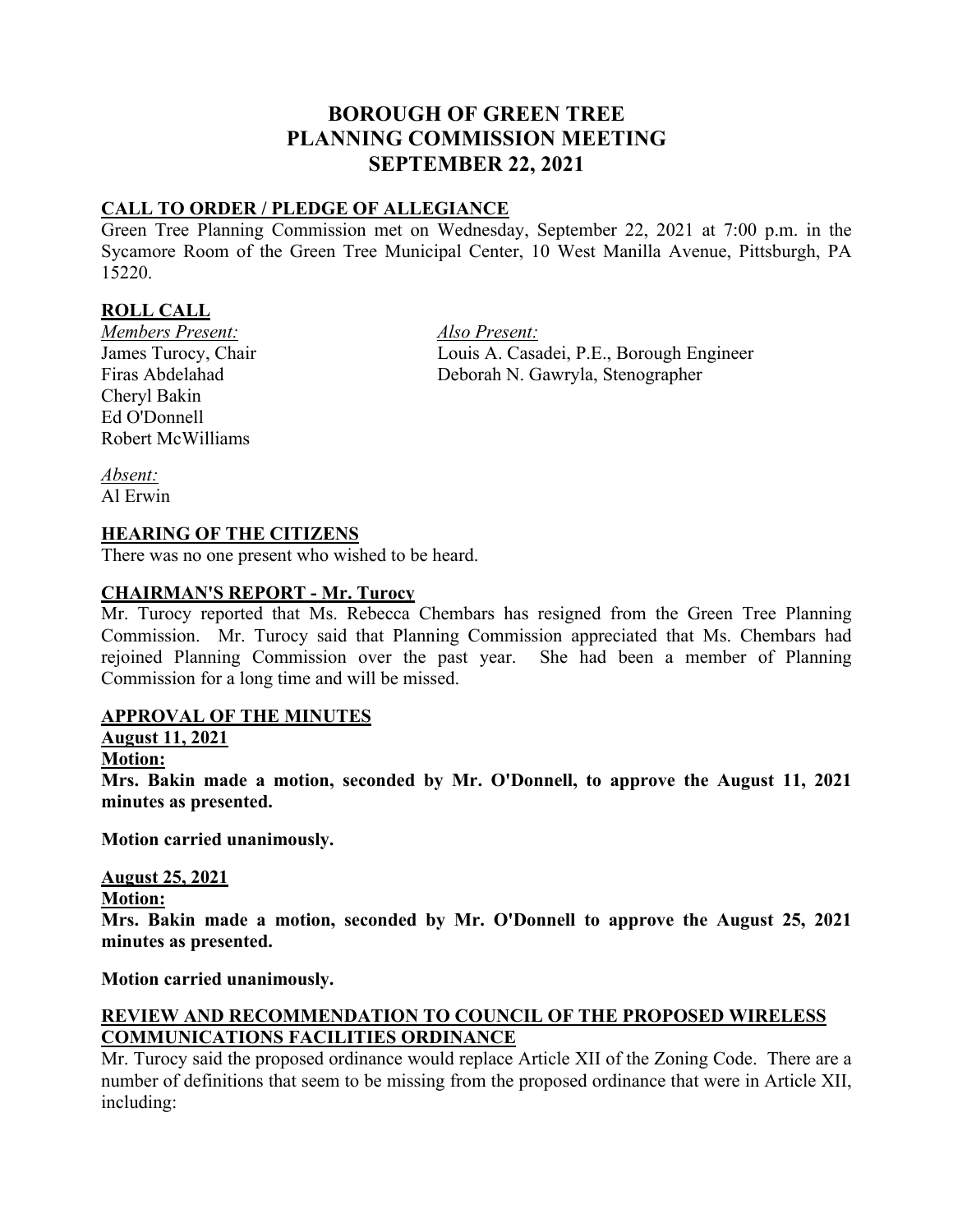# **BOROUGH OF GREEN TREE PLANNING COMMISSION MEETING SEPTEMBER 22, 2021**

# **CALL TO ORDER / PLEDGE OF ALLEGIANCE**

Green Tree Planning Commission met on Wednesday, September 22, 2021 at 7:00 p.m. in the Sycamore Room of the Green Tree Municipal Center, 10 West Manilla Avenue, Pittsburgh, PA 15220.

### **ROLL CALL**

*Members Present: Also Present:* Cheryl Bakin Ed O'Donnell Robert McWilliams

James Turocy, Chair Louis A. Casadei, P.E., Borough Engineer Firas Abdelahad Deborah N. Gawryla, Stenographer

*Absent:* Al Erwin

### **HEARING OF THE CITIZENS**

There was no one present who wished to be heard.

#### **CHAIRMAN'S REPORT - Mr. Turocy**

Mr. Turocy reported that Ms. Rebecca Chembars has resigned from the Green Tree Planning Commission. Mr. Turocy said that Planning Commission appreciated that Ms. Chembars had rejoined Planning Commission over the past year. She had been a member of Planning Commission for a long time and will be missed.

#### **APPROVAL OF THE MINUTES**

### **August 11, 2021**

#### **Motion:**

**Mrs. Bakin made a motion, seconded by Mr. O'Donnell, to approve the August 11, 2021 minutes as presented.**

**Motion carried unanimously.**

### **August 25, 2021**

**Motion:**

**Mrs. Bakin made a motion, seconded by Mr. O'Donnell to approve the August 25, 2021 minutes as presented.**

**Motion carried unanimously.**

# **REVIEW AND RECOMMENDATION TO COUNCIL OF THE PROPOSED WIRELESS COMMUNICATIONS FACILITIES ORDINANCE**

Mr. Turocy said the proposed ordinance would replace Article XII of the Zoning Code. There are a number of definitions that seem to be missing from the proposed ordinance that were in Article XII, including: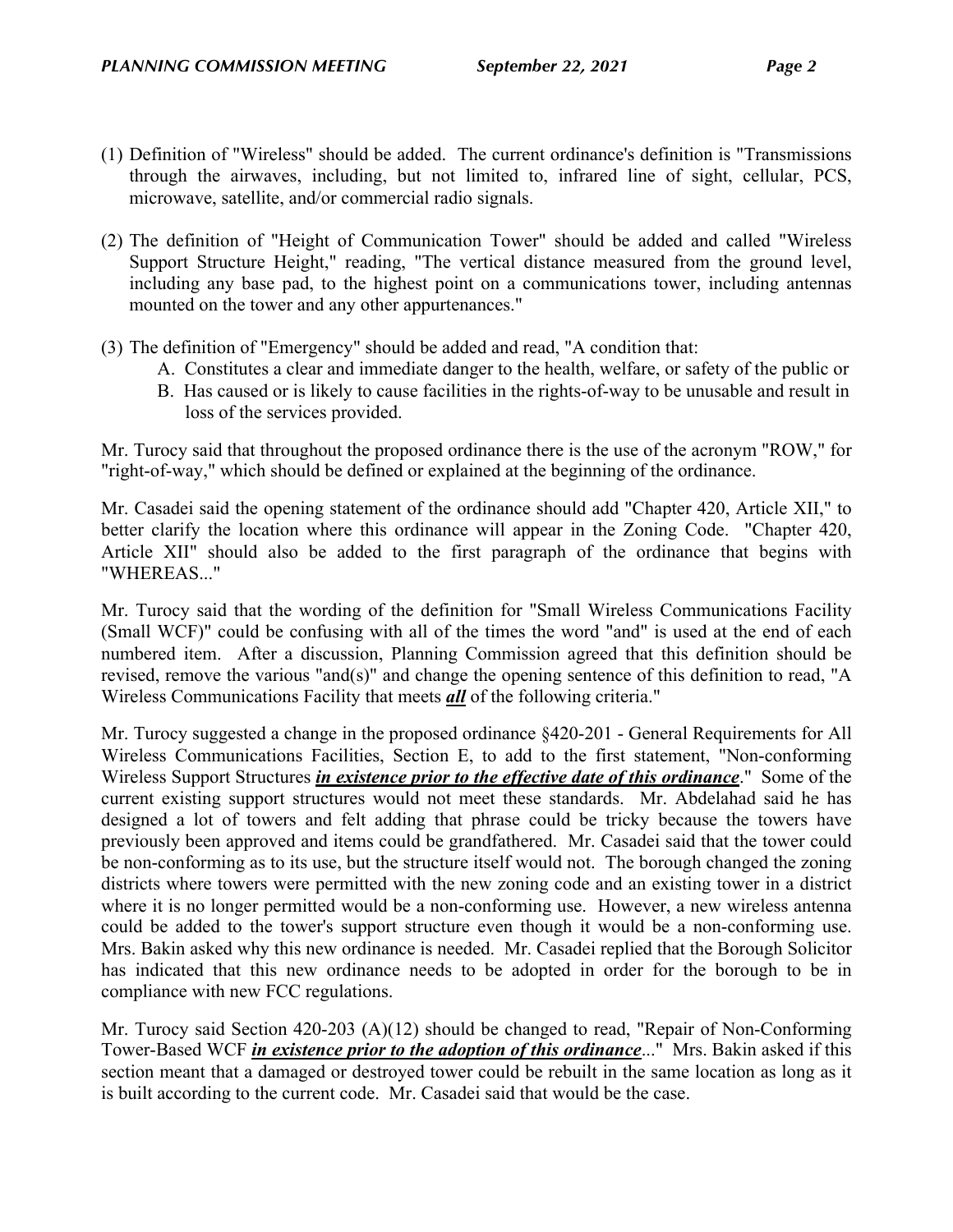- (1) Definition of "Wireless" should be added. The current ordinance's definition is "Transmissions through the airwaves, including, but not limited to, infrared line of sight, cellular, PCS, microwave, satellite, and/or commercial radio signals.
- (2) The definition of "Height of Communication Tower" should be added and called "Wireless Support Structure Height," reading, "The vertical distance measured from the ground level, including any base pad, to the highest point on a communications tower, including antennas mounted on the tower and any other appurtenances."
- (3) The definition of "Emergency" should be added and read, "A condition that:
	- A. Constitutes a clear and immediate danger to the health, welfare, or safety of the public or
	- B. Has caused or is likely to cause facilities in the rights-of-way to be unusable and result in loss of the services provided.

Mr. Turocy said that throughout the proposed ordinance there is the use of the acronym "ROW," for "right-of-way," which should be defined or explained at the beginning of the ordinance.

Mr. Casadei said the opening statement of the ordinance should add "Chapter 420, Article XII," to better clarify the location where this ordinance will appear in the Zoning Code. "Chapter 420, Article XII" should also be added to the first paragraph of the ordinance that begins with "WHEREAS..."

Mr. Turocy said that the wording of the definition for "Small Wireless Communications Facility (Small WCF)" could be confusing with all of the times the word "and" is used at the end of each numbered item. After a discussion, Planning Commission agreed that this definition should be revised, remove the various "and(s)" and change the opening sentence of this definition to read, "A Wireless Communications Facility that meets *all* of the following criteria."

Mr. Turocy suggested a change in the proposed ordinance §420-201 - General Requirements for All Wireless Communications Facilities, Section E, to add to the first statement, "Non-conforming Wireless Support Structures *in existence prior to the effective date of this ordinance*." Some of the current existing support structures would not meet these standards. Mr. Abdelahad said he has designed a lot of towers and felt adding that phrase could be tricky because the towers have previously been approved and items could be grandfathered. Mr. Casadei said that the tower could be non-conforming as to its use, but the structure itself would not. The borough changed the zoning districts where towers were permitted with the new zoning code and an existing tower in a district where it is no longer permitted would be a non-conforming use. However, a new wireless antenna could be added to the tower's support structure even though it would be a non-conforming use. Mrs. Bakin asked why this new ordinance is needed. Mr. Casadei replied that the Borough Solicitor has indicated that this new ordinance needs to be adopted in order for the borough to be in compliance with new FCC regulations.

Mr. Turocy said Section 420-203 (A)(12) should be changed to read, "Repair of Non-Conforming Tower-Based WCF *in existence prior to the adoption of this ordinance*..." Mrs. Bakin asked if this section meant that a damaged or destroyed tower could be rebuilt in the same location as long as it is built according to the current code. Mr. Casadei said that would be the case.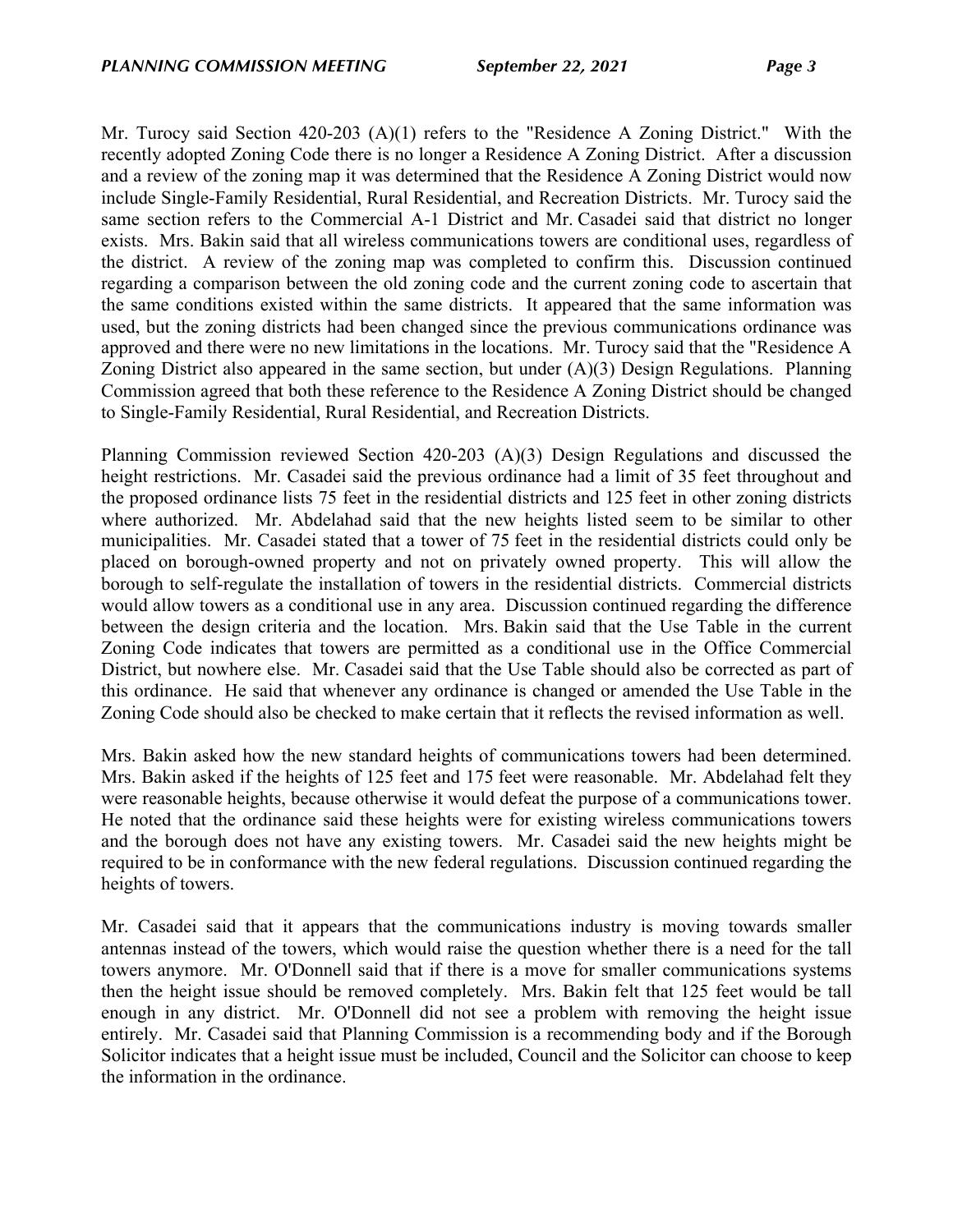Mr. Turocy said Section 420-203 (A)(1) refers to the "Residence A Zoning District." With the recently adopted Zoning Code there is no longer a Residence A Zoning District. After a discussion and a review of the zoning map it was determined that the Residence A Zoning District would now include Single-Family Residential, Rural Residential, and Recreation Districts. Mr. Turocy said the same section refers to the Commercial A-1 District and Mr. Casadei said that district no longer exists. Mrs. Bakin said that all wireless communications towers are conditional uses, regardless of the district. A review of the zoning map was completed to confirm this. Discussion continued regarding a comparison between the old zoning code and the current zoning code to ascertain that the same conditions existed within the same districts. It appeared that the same information was used, but the zoning districts had been changed since the previous communications ordinance was approved and there were no new limitations in the locations. Mr. Turocy said that the "Residence A Zoning District also appeared in the same section, but under (A)(3) Design Regulations. Planning Commission agreed that both these reference to the Residence A Zoning District should be changed to Single-Family Residential, Rural Residential, and Recreation Districts.

Planning Commission reviewed Section 420-203 (A)(3) Design Regulations and discussed the height restrictions. Mr. Casadei said the previous ordinance had a limit of 35 feet throughout and the proposed ordinance lists 75 feet in the residential districts and 125 feet in other zoning districts where authorized. Mr. Abdelahad said that the new heights listed seem to be similar to other municipalities. Mr. Casadei stated that a tower of 75 feet in the residential districts could only be placed on borough-owned property and not on privately owned property. This will allow the borough to self-regulate the installation of towers in the residential districts. Commercial districts would allow towers as a conditional use in any area. Discussion continued regarding the difference between the design criteria and the location. Mrs. Bakin said that the Use Table in the current Zoning Code indicates that towers are permitted as a conditional use in the Office Commercial District, but nowhere else. Mr. Casadei said that the Use Table should also be corrected as part of this ordinance. He said that whenever any ordinance is changed or amended the Use Table in the Zoning Code should also be checked to make certain that it reflects the revised information as well.

Mrs. Bakin asked how the new standard heights of communications towers had been determined. Mrs. Bakin asked if the heights of 125 feet and 175 feet were reasonable. Mr. Abdelahad felt they were reasonable heights, because otherwise it would defeat the purpose of a communications tower. He noted that the ordinance said these heights were for existing wireless communications towers and the borough does not have any existing towers. Mr. Casadei said the new heights might be required to be in conformance with the new federal regulations. Discussion continued regarding the heights of towers.

Mr. Casadei said that it appears that the communications industry is moving towards smaller antennas instead of the towers, which would raise the question whether there is a need for the tall towers anymore. Mr. O'Donnell said that if there is a move for smaller communications systems then the height issue should be removed completely. Mrs. Bakin felt that 125 feet would be tall enough in any district. Mr. O'Donnell did not see a problem with removing the height issue entirely. Mr. Casadei said that Planning Commission is a recommending body and if the Borough Solicitor indicates that a height issue must be included, Council and the Solicitor can choose to keep the information in the ordinance.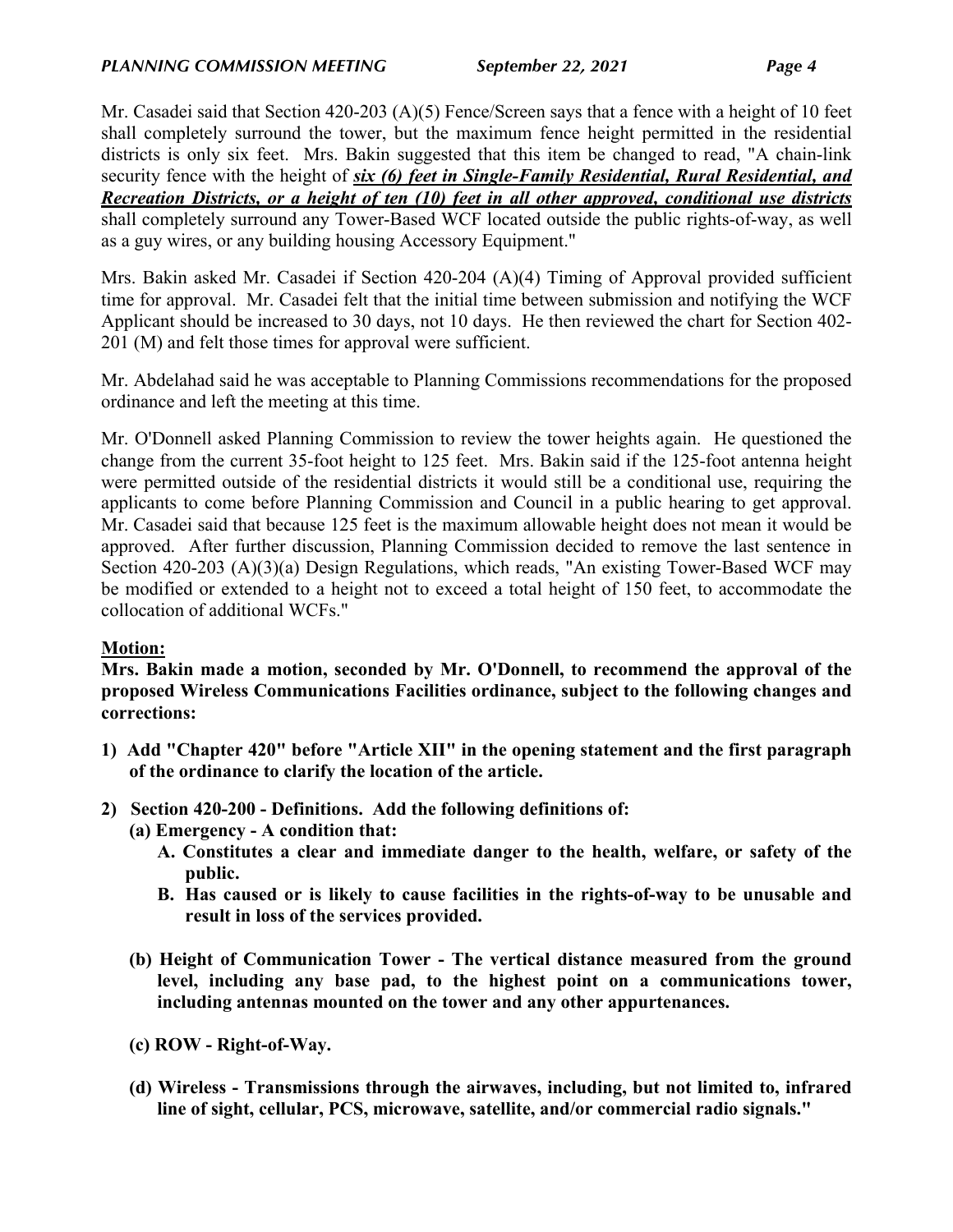Mr. Casadei said that Section 420-203 (A)(5) Fence/Screen says that a fence with a height of 10 feet shall completely surround the tower, but the maximum fence height permitted in the residential districts is only six feet. Mrs. Bakin suggested that this item be changed to read, "A chain-link security fence with the height of *six (6) feet in Single-Family Residential, Rural Residential, and Recreation Districts, or a height of ten (10) feet in all other approved, conditional use districts*  shall completely surround any Tower-Based WCF located outside the public rights-of-way, as well as a guy wires, or any building housing Accessory Equipment."

Mrs. Bakin asked Mr. Casadei if Section 420-204 (A)(4) Timing of Approval provided sufficient time for approval. Mr. Casadei felt that the initial time between submission and notifying the WCF Applicant should be increased to 30 days, not 10 days. He then reviewed the chart for Section 402- 201 (M) and felt those times for approval were sufficient.

Mr. Abdelahad said he was acceptable to Planning Commissions recommendations for the proposed ordinance and left the meeting at this time.

Mr. O'Donnell asked Planning Commission to review the tower heights again. He questioned the change from the current 35-foot height to 125 feet. Mrs. Bakin said if the 125-foot antenna height were permitted outside of the residential districts it would still be a conditional use, requiring the applicants to come before Planning Commission and Council in a public hearing to get approval. Mr. Casadei said that because 125 feet is the maximum allowable height does not mean it would be approved. After further discussion, Planning Commission decided to remove the last sentence in Section 420-203 (A)(3)(a) Design Regulations, which reads, "An existing Tower-Based WCF may be modified or extended to a height not to exceed a total height of 150 feet, to accommodate the collocation of additional WCFs."

# **Motion:**

**Mrs. Bakin made a motion, seconded by Mr. O'Donnell, to recommend the approval of the proposed Wireless Communications Facilities ordinance, subject to the following changes and corrections:**

- **1) Add "Chapter 420" before "Article XII" in the opening statement and the first paragraph of the ordinance to clarify the location of the article.**
- **2) Section 420-200 Definitions. Add the following definitions of:**
	- **(a) Emergency A condition that:**
		- **A. Constitutes a clear and immediate danger to the health, welfare, or safety of the public.**
		- **B. Has caused or is likely to cause facilities in the rights-of-way to be unusable and result in loss of the services provided.**
	- **(b) Height of Communication Tower The vertical distance measured from the ground level, including any base pad, to the highest point on a communications tower, including antennas mounted on the tower and any other appurtenances.**
	- **(c) ROW Right-of-Way.**
	- **(d) Wireless Transmissions through the airwaves, including, but not limited to, infrared line of sight, cellular, PCS, microwave, satellite, and/or commercial radio signals."**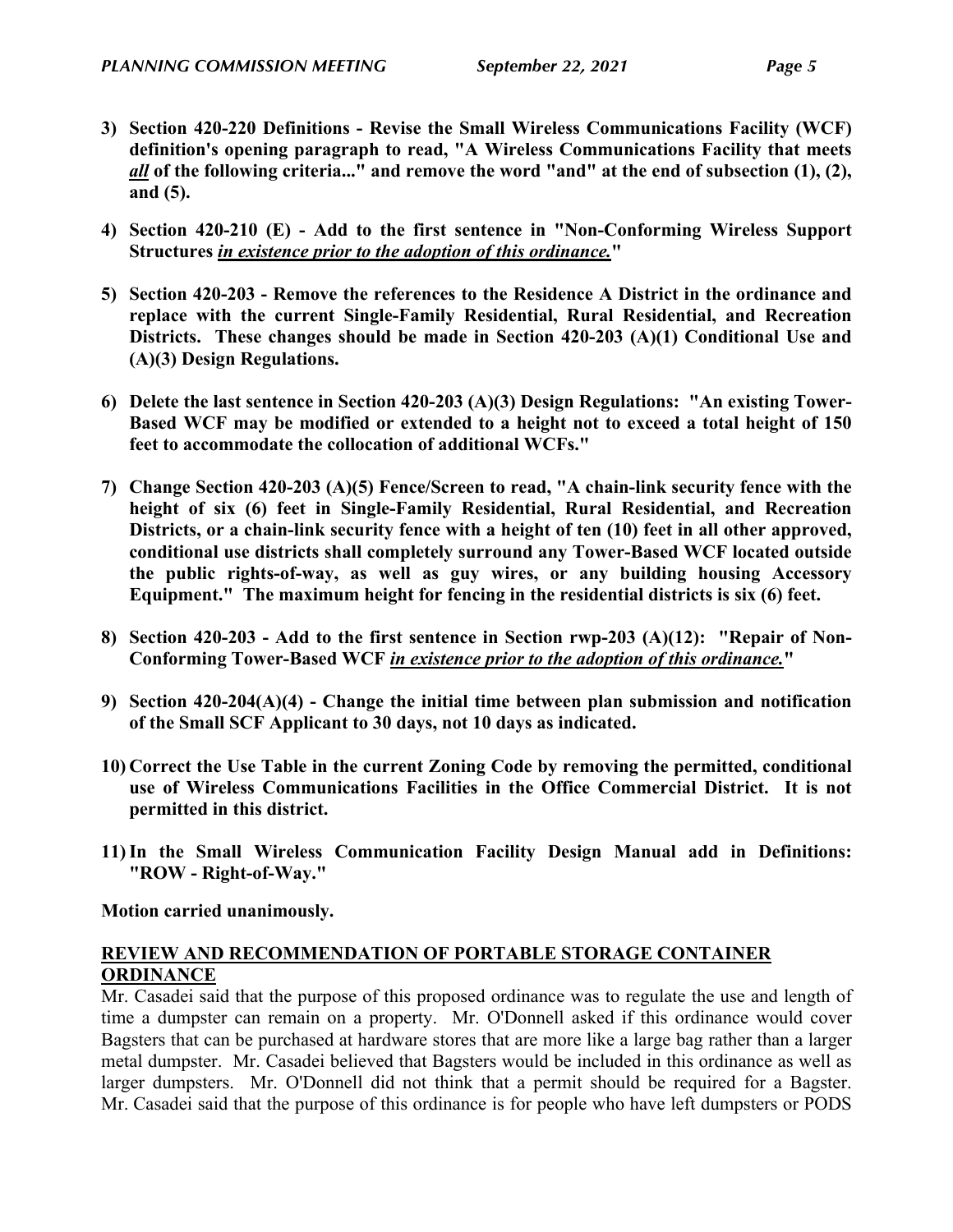- **3) Section 420-220 Definitions Revise the Small Wireless Communications Facility (WCF) definition's opening paragraph to read, "A Wireless Communications Facility that meets**  *all* **of the following criteria..." and remove the word "and" at the end of subsection (1), (2), and (5).**
- **4) Section 420-210 (E) Add to the first sentence in "Non-Conforming Wireless Support Structures** *in existence prior to the adoption of this ordinance.***"**
- **5) Section 420-203 Remove the references to the Residence A District in the ordinance and replace with the current Single-Family Residential, Rural Residential, and Recreation Districts. These changes should be made in Section 420-203 (A)(1) Conditional Use and (A)(3) Design Regulations.**
- **6) Delete the last sentence in Section 420-203 (A)(3) Design Regulations: "An existing Tower-Based WCF may be modified or extended to a height not to exceed a total height of 150 feet to accommodate the collocation of additional WCFs."**
- **7) Change Section 420-203 (A)(5) Fence/Screen to read, "A chain-link security fence with the height of six (6) feet in Single-Family Residential, Rural Residential, and Recreation Districts, or a chain-link security fence with a height of ten (10) feet in all other approved, conditional use districts shall completely surround any Tower-Based WCF located outside the public rights-of-way, as well as guy wires, or any building housing Accessory Equipment." The maximum height for fencing in the residential districts is six (6) feet.**
- **8) Section 420-203 Add to the first sentence in Section rwp-203 (A)(12): "Repair of Non-Conforming Tower-Based WCF** *in existence prior to the adoption of this ordinance.***"**
- **9) Section 420-204(A)(4) Change the initial time between plan submission and notification of the Small SCF Applicant to 30 days, not 10 days as indicated.**
- **10) Correct the Use Table in the current Zoning Code by removing the permitted, conditional use of Wireless Communications Facilities in the Office Commercial District. It is not permitted in this district.**
- **11)In the Small Wireless Communication Facility Design Manual add in Definitions: "ROW - Right-of-Way."**

**Motion carried unanimously.**

# **REVIEW AND RECOMMENDATION OF PORTABLE STORAGE CONTAINER ORDINANCE**

Mr. Casadei said that the purpose of this proposed ordinance was to regulate the use and length of time a dumpster can remain on a property. Mr. O'Donnell asked if this ordinance would cover Bagsters that can be purchased at hardware stores that are more like a large bag rather than a larger metal dumpster. Mr. Casadei believed that Bagsters would be included in this ordinance as well as larger dumpsters. Mr. O'Donnell did not think that a permit should be required for a Bagster. Mr. Casadei said that the purpose of this ordinance is for people who have left dumpsters or PODS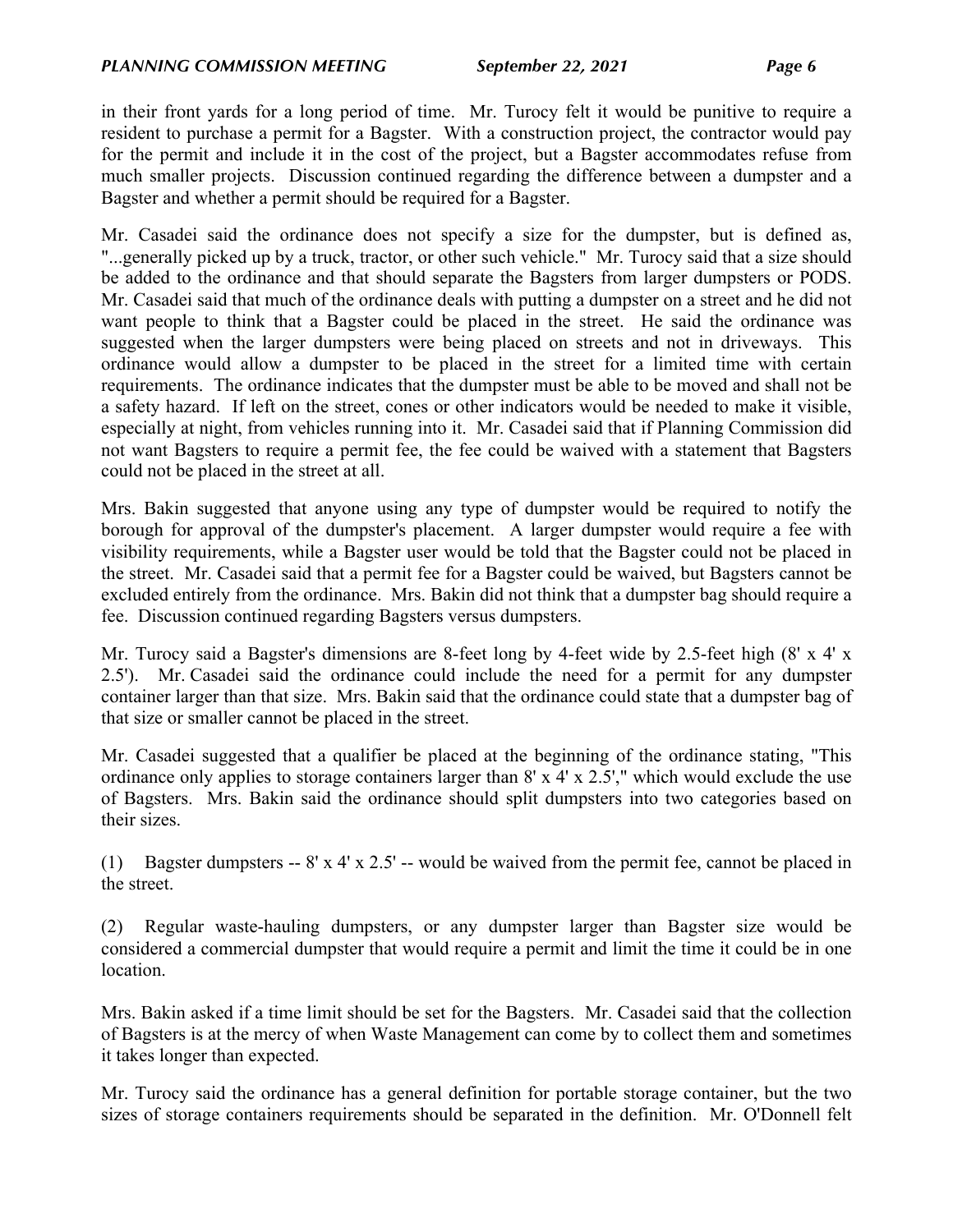in their front yards for a long period of time. Mr. Turocy felt it would be punitive to require a resident to purchase a permit for a Bagster. With a construction project, the contractor would pay for the permit and include it in the cost of the project, but a Bagster accommodates refuse from much smaller projects. Discussion continued regarding the difference between a dumpster and a Bagster and whether a permit should be required for a Bagster.

Mr. Casadei said the ordinance does not specify a size for the dumpster, but is defined as, "...generally picked up by a truck, tractor, or other such vehicle." Mr. Turocy said that a size should be added to the ordinance and that should separate the Bagsters from larger dumpsters or PODS. Mr. Casadei said that much of the ordinance deals with putting a dumpster on a street and he did not want people to think that a Bagster could be placed in the street. He said the ordinance was suggested when the larger dumpsters were being placed on streets and not in driveways. This ordinance would allow a dumpster to be placed in the street for a limited time with certain requirements. The ordinance indicates that the dumpster must be able to be moved and shall not be a safety hazard. If left on the street, cones or other indicators would be needed to make it visible, especially at night, from vehicles running into it. Mr. Casadei said that if Planning Commission did not want Bagsters to require a permit fee, the fee could be waived with a statement that Bagsters could not be placed in the street at all.

Mrs. Bakin suggested that anyone using any type of dumpster would be required to notify the borough for approval of the dumpster's placement. A larger dumpster would require a fee with visibility requirements, while a Bagster user would be told that the Bagster could not be placed in the street. Mr. Casadei said that a permit fee for a Bagster could be waived, but Bagsters cannot be excluded entirely from the ordinance. Mrs. Bakin did not think that a dumpster bag should require a fee. Discussion continued regarding Bagsters versus dumpsters.

Mr. Turocy said a Bagster's dimensions are 8-feet long by 4-feet wide by 2.5-feet high  $(8' \times 4' \times$ 2.5'). Mr. Casadei said the ordinance could include the need for a permit for any dumpster container larger than that size. Mrs. Bakin said that the ordinance could state that a dumpster bag of that size or smaller cannot be placed in the street.

Mr. Casadei suggested that a qualifier be placed at the beginning of the ordinance stating, "This ordinance only applies to storage containers larger than 8' x 4' x 2.5'," which would exclude the use of Bagsters. Mrs. Bakin said the ordinance should split dumpsters into two categories based on their sizes.

(1) Bagster dumpsters -- 8' x 4' x 2.5' -- would be waived from the permit fee, cannot be placed in the street.

(2) Regular waste-hauling dumpsters, or any dumpster larger than Bagster size would be considered a commercial dumpster that would require a permit and limit the time it could be in one location.

Mrs. Bakin asked if a time limit should be set for the Bagsters. Mr. Casadei said that the collection of Bagsters is at the mercy of when Waste Management can come by to collect them and sometimes it takes longer than expected.

Mr. Turocy said the ordinance has a general definition for portable storage container, but the two sizes of storage containers requirements should be separated in the definition. Mr. O'Donnell felt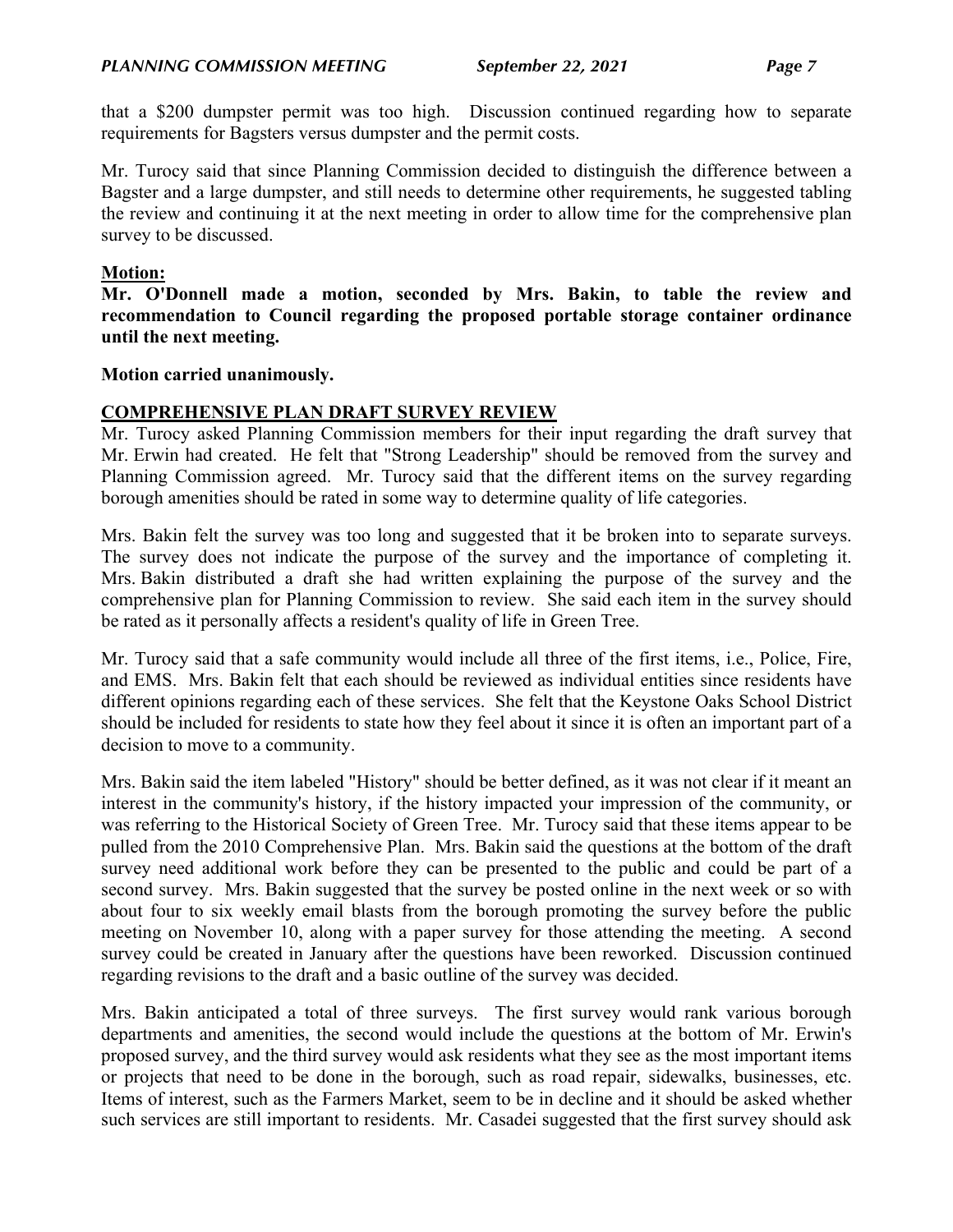that a \$200 dumpster permit was too high. Discussion continued regarding how to separate requirements for Bagsters versus dumpster and the permit costs.

Mr. Turocy said that since Planning Commission decided to distinguish the difference between a Bagster and a large dumpster, and still needs to determine other requirements, he suggested tabling the review and continuing it at the next meeting in order to allow time for the comprehensive plan survey to be discussed.

### **Motion:**

**Mr. O'Donnell made a motion, seconded by Mrs. Bakin, to table the review and recommendation to Council regarding the proposed portable storage container ordinance until the next meeting.**

#### **Motion carried unanimously.**

## **COMPREHENSIVE PLAN DRAFT SURVEY REVIEW**

Mr. Turocy asked Planning Commission members for their input regarding the draft survey that Mr. Erwin had created. He felt that "Strong Leadership" should be removed from the survey and Planning Commission agreed. Mr. Turocy said that the different items on the survey regarding borough amenities should be rated in some way to determine quality of life categories.

Mrs. Bakin felt the survey was too long and suggested that it be broken into to separate surveys. The survey does not indicate the purpose of the survey and the importance of completing it. Mrs. Bakin distributed a draft she had written explaining the purpose of the survey and the comprehensive plan for Planning Commission to review. She said each item in the survey should be rated as it personally affects a resident's quality of life in Green Tree.

Mr. Turocy said that a safe community would include all three of the first items, i.e., Police, Fire, and EMS. Mrs. Bakin felt that each should be reviewed as individual entities since residents have different opinions regarding each of these services. She felt that the Keystone Oaks School District should be included for residents to state how they feel about it since it is often an important part of a decision to move to a community.

Mrs. Bakin said the item labeled "History" should be better defined, as it was not clear if it meant an interest in the community's history, if the history impacted your impression of the community, or was referring to the Historical Society of Green Tree. Mr. Turocy said that these items appear to be pulled from the 2010 Comprehensive Plan. Mrs. Bakin said the questions at the bottom of the draft survey need additional work before they can be presented to the public and could be part of a second survey. Mrs. Bakin suggested that the survey be posted online in the next week or so with about four to six weekly email blasts from the borough promoting the survey before the public meeting on November 10, along with a paper survey for those attending the meeting. A second survey could be created in January after the questions have been reworked. Discussion continued regarding revisions to the draft and a basic outline of the survey was decided.

Mrs. Bakin anticipated a total of three surveys. The first survey would rank various borough departments and amenities, the second would include the questions at the bottom of Mr. Erwin's proposed survey, and the third survey would ask residents what they see as the most important items or projects that need to be done in the borough, such as road repair, sidewalks, businesses, etc. Items of interest, such as the Farmers Market, seem to be in decline and it should be asked whether such services are still important to residents. Mr. Casadei suggested that the first survey should ask